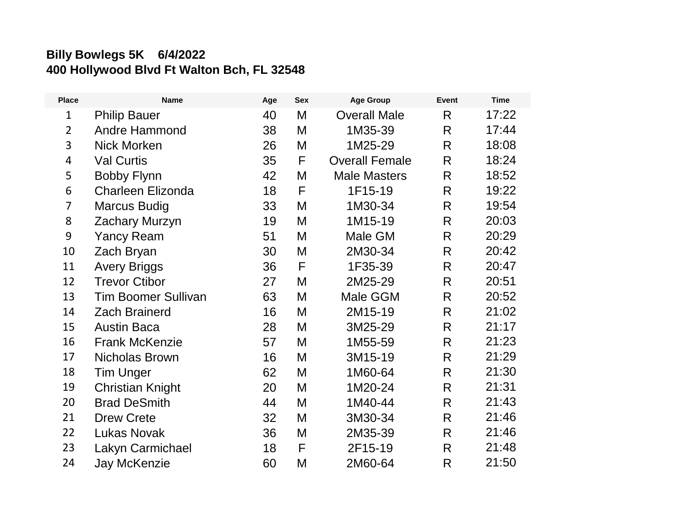## **Billy Bowlegs 5K 6/4/2022 400 Hollywood Blvd Ft Walton Bch, FL 32548**

| <b>Place</b>   | <b>Name</b>                | Age | <b>Sex</b> | <b>Age Group</b>      | <b>Event</b> | <b>Time</b> |
|----------------|----------------------------|-----|------------|-----------------------|--------------|-------------|
| $\mathbf{1}$   | <b>Philip Bauer</b>        | 40  | M          | <b>Overall Male</b>   | R            | 17:22       |
| $\overline{2}$ | <b>Andre Hammond</b>       | 38  | M          | 1M35-39               | R            | 17:44       |
| 3              | <b>Nick Morken</b>         | 26  | M          | 1M25-29               | $\mathsf{R}$ | 18:08       |
| 4              | <b>Val Curtis</b>          | 35  | F          | <b>Overall Female</b> | R            | 18:24       |
| 5              | <b>Bobby Flynn</b>         | 42  | M          | <b>Male Masters</b>   | $\mathsf{R}$ | 18:52       |
| 6              | <b>Charleen Elizonda</b>   | 18  | F          | 1F15-19               | R            | 19:22       |
| $\overline{7}$ | <b>Marcus Budig</b>        | 33  | M          | 1M30-34               | R            | 19:54       |
| 8              | Zachary Murzyn             | 19  | M          | 1M15-19               | R            | 20:03       |
| 9              | <b>Yancy Ream</b>          | 51  | M          | Male GM               | $\mathsf{R}$ | 20:29       |
| 10             | Zach Bryan                 | 30  | M          | 2M30-34               | R            | 20:42       |
| 11             | <b>Avery Briggs</b>        | 36  | F          | 1F35-39               | R            | 20:47       |
| 12             | <b>Trevor Ctibor</b>       | 27  | M          | 2M25-29               | R            | 20:51       |
| 13             | <b>Tim Boomer Sullivan</b> | 63  | M          | Male GGM              | R            | 20:52       |
| 14             | <b>Zach Brainerd</b>       | 16  | M          | 2M15-19               | R            | 21:02       |
| 15             | <b>Austin Baca</b>         | 28  | M          | 3M25-29               | R            | 21:17       |
| 16             | <b>Frank McKenzie</b>      | 57  | M          | 1M55-59               | R            | 21:23       |
| 17             | <b>Nicholas Brown</b>      | 16  | M          | 3M15-19               | R            | 21:29       |
| 18             | <b>Tim Unger</b>           | 62  | M          | 1M60-64               | R            | 21:30       |
| 19             | <b>Christian Knight</b>    | 20  | M          | 1M20-24               | R            | 21:31       |
| 20             | <b>Brad DeSmith</b>        | 44  | M          | 1M40-44               | R            | 21:43       |
| 21             | <b>Drew Crete</b>          | 32  | M          | 3M30-34               | R            | 21:46       |
| 22             | <b>Lukas Novak</b>         | 36  | M          | 2M35-39               | R            | 21:46       |
| 23             | Lakyn Carmichael           | 18  | F          | 2F15-19               | R            | 21:48       |
| 24             | <b>Jay McKenzie</b>        | 60  | M          | 2M60-64               | R            | 21:50       |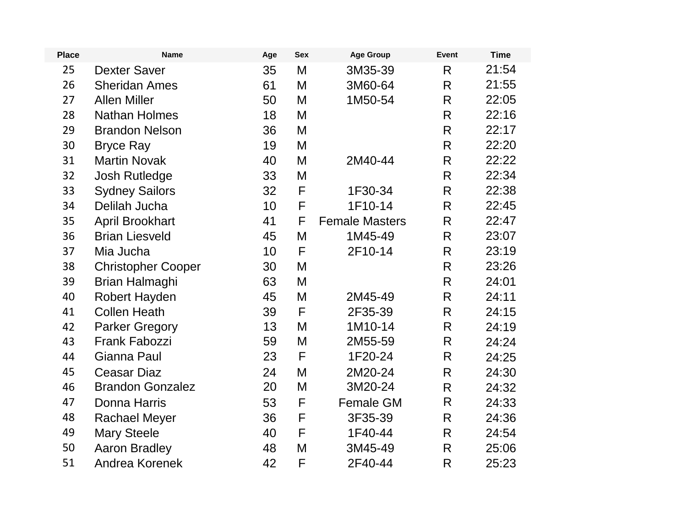| <b>Place</b> | <b>Name</b>               | Age | <b>Sex</b> | <b>Age Group</b>      | <b>Event</b>       | <b>Time</b> |
|--------------|---------------------------|-----|------------|-----------------------|--------------------|-------------|
| 25           | <b>Dexter Saver</b>       | 35  | M          | 3M35-39               | R                  | 21:54       |
| 26           | <b>Sheridan Ames</b>      | 61  | M          | 3M60-64               | $\mathsf{R}$       | 21:55       |
| 27           | <b>Allen Miller</b>       | 50  | M          | 1M50-54               | $\mathsf{R}$       | 22:05       |
| 28           | <b>Nathan Holmes</b>      | 18  | M          |                       | $\mathsf{R}$       | 22:16       |
| 29           | <b>Brandon Nelson</b>     | 36  | M          |                       | R                  | 22:17       |
| 30           | <b>Bryce Ray</b>          | 19  | M          |                       | $\mathsf{R}$       | 22:20       |
| 31           | <b>Martin Novak</b>       | 40  | M          | 2M40-44               | $\mathsf{R}$       | 22:22       |
| 32           | <b>Josh Rutledge</b>      | 33  | M          |                       | $\mathsf{R}$       | 22:34       |
| 33           | <b>Sydney Sailors</b>     | 32  | F          | 1F30-34               | $\mathsf{R}$       | 22:38       |
| 34           | Delilah Jucha             | 10  | F          | 1F10-14               | R                  | 22:45       |
| 35           | <b>April Brookhart</b>    | 41  | F          | <b>Female Masters</b> | $\mathsf{R}$       | 22:47       |
| 36           | <b>Brian Liesveld</b>     | 45  | M          | 1M45-49               | $\mathsf{R}$       | 23:07       |
| 37           | Mia Jucha                 | 10  | F          | 2F10-14               | $\mathsf{R}$       | 23:19       |
| 38           | <b>Christopher Cooper</b> | 30  | M          |                       | R                  | 23:26       |
| 39           | Brian Halmaghi            | 63  | M          |                       | $\mathsf{R}$       | 24:01       |
| 40           | Robert Hayden             | 45  | M          | 2M45-49               | R                  | 24:11       |
| 41           | <b>Collen Heath</b>       | 39  | F          | 2F35-39               | $\mathsf{R}$       | 24:15       |
| 42           | <b>Parker Gregory</b>     | 13  | M          | 1M10-14               | $\mathsf{R}% _{T}$ | 24:19       |
| 43           | <b>Frank Fabozzi</b>      | 59  | M          | 2M55-59               | R                  | 24:24       |
| 44           | Gianna Paul               | 23  | F          | 1F20-24               | R                  | 24:25       |
| 45           | <b>Ceasar Diaz</b>        | 24  | M          | 2M20-24               | R                  | 24:30       |
| 46           | <b>Brandon Gonzalez</b>   | 20  | M          | 3M20-24               | $\mathsf{R}$       | 24:32       |
| 47           | Donna Harris              | 53  | F          | Female GM             | R                  | 24:33       |
| 48           | <b>Rachael Meyer</b>      | 36  | F          | 3F35-39               | $\mathsf{R}$       | 24:36       |
| 49           | <b>Mary Steele</b>        | 40  | F          | 1F40-44               | $\mathsf{R}$       | 24:54       |
| 50           | <b>Aaron Bradley</b>      | 48  | M          | 3M45-49               | R                  | 25:06       |
| 51           | Andrea Korenek            | 42  | F          | 2F40-44               | $\mathsf{R}$       | 25:23       |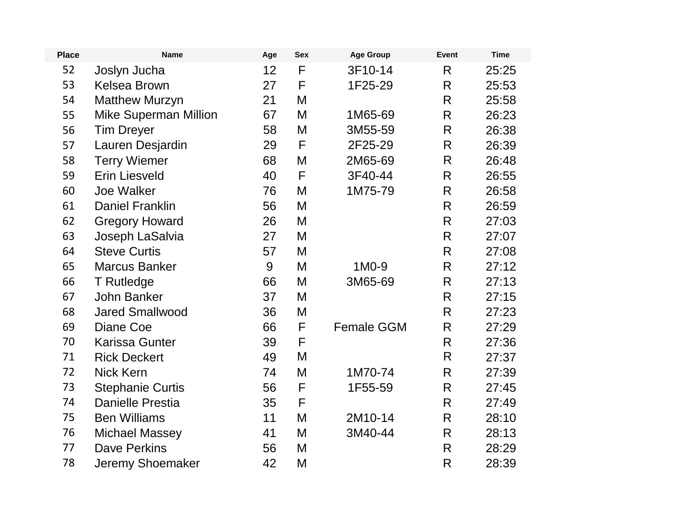| <b>Place</b> | <b>Name</b>                  | Age             | <b>Sex</b>  | <b>Age Group</b>  | <b>Event</b>       | <b>Time</b> |
|--------------|------------------------------|-----------------|-------------|-------------------|--------------------|-------------|
| 52           | Joslyn Jucha                 | 12 <sub>2</sub> | F           | 3F10-14           | R                  | 25:25       |
| 53           | <b>Kelsea Brown</b>          | 27              | F           | 1F25-29           | R                  | 25:53       |
| 54           | <b>Matthew Murzyn</b>        | 21              | M           |                   | $\mathsf{R}$       | 25:58       |
| 55           | <b>Mike Superman Million</b> | 67              | M           | 1M65-69           | $\mathsf{R}% _{T}$ | 26:23       |
| 56           | <b>Tim Dreyer</b>            | 58              | M           | 3M55-59           | $\mathsf R$        | 26:38       |
| 57           | Lauren Desjardin             | 29              | $\mathsf F$ | 2F25-29           | $\mathsf{R}$       | 26:39       |
| 58           | <b>Terry Wiemer</b>          | 68              | M           | 2M65-69           | $\mathsf{R}$       | 26:48       |
| 59           | <b>Erin Liesveld</b>         | 40              | F           | 3F40-44           | $\mathsf{R}$       | 26:55       |
| 60           | <b>Joe Walker</b>            | 76              | M           | 1M75-79           | R                  | 26:58       |
| 61           | <b>Daniel Franklin</b>       | 56              | M           |                   | R                  | 26:59       |
| 62           | <b>Gregory Howard</b>        | 26              | M           |                   | R                  | 27:03       |
| 63           | Joseph LaSalvia              | 27              | M           |                   | $\mathsf{R}$       | 27:07       |
| 64           | <b>Steve Curtis</b>          | 57              | M           |                   | $\mathsf{R}$       | 27:08       |
| 65           | <b>Marcus Banker</b>         | 9               | M           | 1M0-9             | R                  | 27:12       |
| 66           | T Rutledge                   | 66              | M           | 3M65-69           | $\mathsf{R}$       | 27:13       |
| 67           | <b>John Banker</b>           | 37              | M           |                   | R                  | 27:15       |
| 68           | <b>Jared Smallwood</b>       | 36              | M           |                   | R                  | 27:23       |
| 69           | Diane Coe                    | 66              | F           | <b>Female GGM</b> | $\mathsf{R}% _{T}$ | 27:29       |
| 70           | <b>Karissa Gunter</b>        | 39              | $\mathsf F$ |                   | R                  | 27:36       |
| 71           | <b>Rick Deckert</b>          | 49              | M           |                   | $\mathsf{R}$       | 27:37       |
| 72           | <b>Nick Kern</b>             | 74              | M           | 1M70-74           | $\mathsf{R}$       | 27:39       |
| 73           | <b>Stephanie Curtis</b>      | 56              | F           | 1F55-59           | R                  | 27:45       |
| 74           | <b>Danielle Prestia</b>      | 35              | F           |                   | R                  | 27:49       |
| 75           | <b>Ben Williams</b>          | 11              | M           | 2M10-14           | $\mathsf R$        | 28:10       |
| 76           | <b>Michael Massey</b>        | 41              | M           | 3M40-44           | $\mathsf{R}$       | 28:13       |
| 77           | <b>Dave Perkins</b>          | 56              | M           |                   | R                  | 28:29       |
| 78           | Jeremy Shoemaker             | 42              | M           |                   | $\mathsf{R}$       | 28:39       |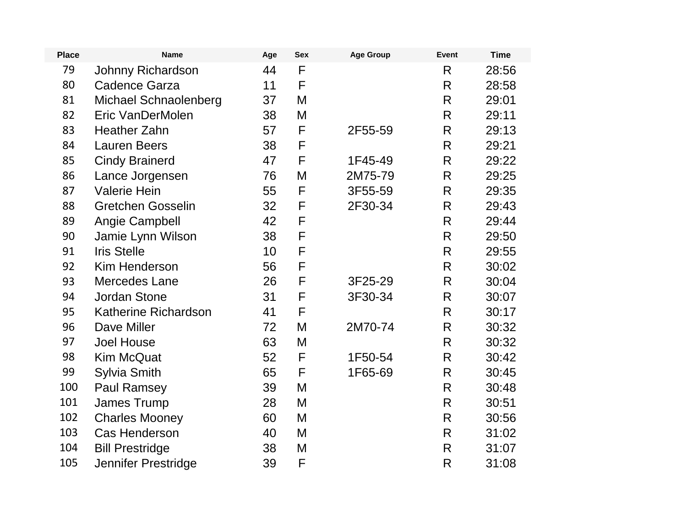| <b>Place</b> | <b>Name</b>                 | Age | <b>Sex</b> | <b>Age Group</b> | Event              | <b>Time</b> |
|--------------|-----------------------------|-----|------------|------------------|--------------------|-------------|
| 79           | Johnny Richardson           | 44  | F          |                  | R                  | 28:56       |
| 80           | <b>Cadence Garza</b>        | 11  | F          |                  | $\mathsf{R}$       | 28:58       |
| 81           | Michael Schnaolenberg       | 37  | M          |                  | R                  | 29:01       |
| 82           | Eric VanDerMolen            | 38  | M          |                  | $\mathsf{R}$       | 29:11       |
| 83           | <b>Heather Zahn</b>         | 57  | F          | 2F55-59          | $\mathsf{R}% _{T}$ | 29:13       |
| 84           | <b>Lauren Beers</b>         | 38  | F          |                  | $\mathsf{R}$       | 29:21       |
| 85           | <b>Cindy Brainerd</b>       | 47  | F          | 1F45-49          | $\mathsf{R}$       | 29:22       |
| 86           | Lance Jorgensen             | 76  | M          | 2M75-79          | $\mathsf{R}$       | 29:25       |
| 87           | <b>Valerie Hein</b>         | 55  | F          | 3F55-59          | R                  | 29:35       |
| 88           | <b>Gretchen Gosselin</b>    | 32  | F          | 2F30-34          | $\mathsf{R}$       | 29:43       |
| 89           | Angie Campbell              | 42  | F          |                  | $\mathsf{R}$       | 29:44       |
| 90           | Jamie Lynn Wilson           | 38  | F          |                  | R                  | 29:50       |
| 91           | <b>Iris Stelle</b>          | 10  | F          |                  | $\mathsf{R}$       | 29:55       |
| 92           | <b>Kim Henderson</b>        | 56  | F          |                  | $\mathsf{R}$       | 30:02       |
| 93           | <b>Mercedes Lane</b>        | 26  | F          | 3F25-29          | R                  | 30:04       |
| 94           | <b>Jordan Stone</b>         | 31  | F          | 3F30-34          | $\mathsf{R}$       | 30:07       |
| 95           | <b>Katherine Richardson</b> | 41  | F          |                  | $\mathsf{R}$       | 30:17       |
| 96           | Dave Miller                 | 72  | M          | 2M70-74          | R                  | 30:32       |
| 97           | <b>Joel House</b>           | 63  | M          |                  | R                  | 30:32       |
| 98           | <b>Kim McQuat</b>           | 52  | F          | 1F50-54          | $\mathsf{R}$       | 30:42       |
| 99           | <b>Sylvia Smith</b>         | 65  | F          | 1F65-69          | R                  | 30:45       |
| 100          | <b>Paul Ramsey</b>          | 39  | M          |                  | $\mathsf{R}$       | 30:48       |
| 101          | <b>James Trump</b>          | 28  | M          |                  | $\mathsf{R}$       | 30:51       |
| 102          | <b>Charles Mooney</b>       | 60  | M          |                  | $\mathsf{R}$       | 30:56       |
| 103          | <b>Cas Henderson</b>        | 40  | M          |                  | $\mathsf{R}$       | 31:02       |
| 104          | <b>Bill Prestridge</b>      | 38  | M          |                  | $\mathsf{R}$       | 31:07       |
| 105          | Jennifer Prestridge         | 39  | F          |                  | $\mathsf{R}$       | 31:08       |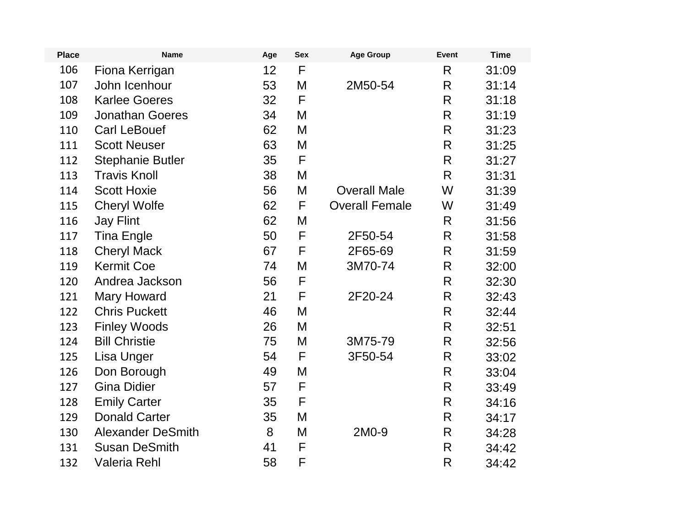| <b>Place</b> | <b>Name</b>              | Age | <b>Sex</b> | <b>Age Group</b>      | <b>Event</b>       | <b>Time</b> |
|--------------|--------------------------|-----|------------|-----------------------|--------------------|-------------|
| 106          | Fiona Kerrigan           | 12  | F          |                       | $\mathsf{R}$       | 31:09       |
| 107          | John Icenhour            | 53  | M          | 2M50-54               | $\mathsf{R}$       | 31:14       |
| 108          | <b>Karlee Goeres</b>     | 32  | F          |                       | R                  | 31:18       |
| 109          | <b>Jonathan Goeres</b>   | 34  | M          |                       | $\mathsf{R}$       | 31:19       |
| 110          | <b>Carl LeBouef</b>      | 62  | M          |                       | $\mathsf{R}$       | 31:23       |
| 111          | <b>Scott Neuser</b>      | 63  | M          |                       | R                  | 31:25       |
| 112          | <b>Stephanie Butler</b>  | 35  | F          |                       | $\mathsf{R}$       | 31:27       |
| 113          | <b>Travis Knoll</b>      | 38  | M          |                       | R                  | 31:31       |
| 114          | <b>Scott Hoxie</b>       | 56  | M          | <b>Overall Male</b>   | W                  | 31:39       |
| 115          | <b>Cheryl Wolfe</b>      | 62  | F          | <b>Overall Female</b> | W                  | 31:49       |
| 116          | <b>Jay Flint</b>         | 62  | M          |                       | R                  | 31:56       |
| 117          | <b>Tina Engle</b>        | 50  | F          | 2F50-54               | R                  | 31:58       |
| 118          | <b>Cheryl Mack</b>       | 67  | F          | 2F65-69               | $\mathsf{R}$       | 31:59       |
| 119          | <b>Kermit Coe</b>        | 74  | M          | 3M70-74               | $\mathsf{R}% _{T}$ | 32:00       |
| 120          | Andrea Jackson           | 56  | F          |                       | R                  | 32:30       |
| 121          | <b>Mary Howard</b>       | 21  | F          | 2F20-24               | $\mathsf{R}$       | 32:43       |
| 122          | <b>Chris Puckett</b>     | 46  | M          |                       | $\mathsf{R}$       | 32:44       |
| 123          | <b>Finley Woods</b>      | 26  | M          |                       | R                  | 32:51       |
| 124          | <b>Bill Christie</b>     | 75  | M          | 3M75-79               | $\mathsf{R}$       | 32:56       |
| 125          | Lisa Unger               | 54  | F          | 3F50-54               | $\mathsf{R}% _{T}$ | 33:02       |
| 126          | Don Borough              | 49  | M          |                       | R                  | 33:04       |
| 127          | <b>Gina Didier</b>       | 57  | F          |                       | $\mathsf{R}$       | 33:49       |
| 128          | <b>Emily Carter</b>      | 35  | F          |                       | $\mathsf{R}$       | 34:16       |
| 129          | <b>Donald Carter</b>     | 35  | M          |                       | R                  | 34:17       |
| 130          | <b>Alexander DeSmith</b> | 8   | M          | 2M0-9                 | R                  | 34:28       |
| 131          | <b>Susan DeSmith</b>     | 41  | F          |                       | $\mathsf{R}$       | 34:42       |
| 132          | Valeria Rehl             | 58  | F          |                       | R                  | 34:42       |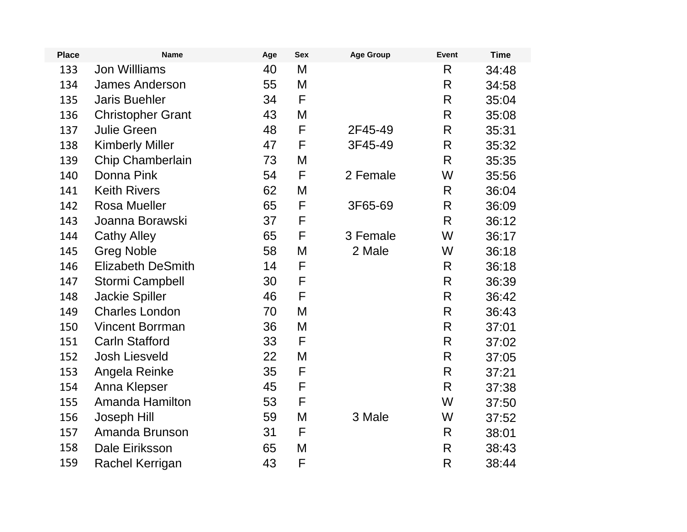| <b>Place</b> | <b>Name</b>              | Age | <b>Sex</b>  | <b>Age Group</b> | <b>Event</b>       | <b>Time</b> |
|--------------|--------------------------|-----|-------------|------------------|--------------------|-------------|
| 133          | <b>Jon Willliams</b>     | 40  | Μ           |                  | $\mathsf{R}$       | 34:48       |
| 134          | <b>James Anderson</b>    | 55  | Μ           |                  | R                  | 34:58       |
| 135          | <b>Jaris Buehler</b>     | 34  | F           |                  | $\mathsf{R}% _{T}$ | 35:04       |
| 136          | <b>Christopher Grant</b> | 43  | M           |                  | $\mathsf{R}$       | 35:08       |
| 137          | <b>Julie Green</b>       | 48  | F           | 2F45-49          | R                  | 35:31       |
| 138          | <b>Kimberly Miller</b>   | 47  | F           | 3F45-49          | R                  | 35:32       |
| 139          | Chip Chamberlain         | 73  | M           |                  | $\mathsf{R}$       | 35:35       |
| 140          | Donna Pink               | 54  | F           | 2 Female         | W                  | 35:56       |
| 141          | <b>Keith Rivers</b>      | 62  | M           |                  | R                  | 36:04       |
| 142          | <b>Rosa Mueller</b>      | 65  | $\mathsf F$ | 3F65-69          | $\mathsf{R}% _{T}$ | 36:09       |
| 143          | Joanna Borawski          | 37  | F           |                  | R                  | 36:12       |
| 144          | <b>Cathy Alley</b>       | 65  | F           | 3 Female         | W                  | 36:17       |
| 145          | <b>Greg Noble</b>        | 58  | Μ           | 2 Male           | W                  | 36:18       |
| 146          | <b>Elizabeth DeSmith</b> | 14  | F           |                  | R                  | 36:18       |
| 147          | <b>Stormi Campbell</b>   | 30  | F           |                  | R                  | 36:39       |
| 148          | <b>Jackie Spiller</b>    | 46  | F           |                  | $\mathsf{R}% _{T}$ | 36:42       |
| 149          | <b>Charles London</b>    | 70  | M           |                  | $\mathsf{R}$       | 36:43       |
| 150          | <b>Vincent Borrman</b>   | 36  | Μ           |                  | R                  | 37:01       |
| 151          | <b>Carln Stafford</b>    | 33  | F           |                  | $\mathsf{R}$       | 37:02       |
| 152          | <b>Josh Liesveld</b>     | 22  | M           |                  | R                  | 37:05       |
| 153          | Angela Reinke            | 35  | F           |                  | $\mathsf{R}$       | 37:21       |
| 154          | Anna Klepser             | 45  | F           |                  | $\mathsf{R}$       | 37:38       |
| 155          | Amanda Hamilton          | 53  | F           |                  | W                  | 37:50       |
| 156          | Joseph Hill              | 59  | M           | 3 Male           | W                  | 37:52       |
| 157          | Amanda Brunson           | 31  | F           |                  | $\mathsf{R}$       | 38:01       |
| 158          | Dale Eiriksson           | 65  | M           |                  | $\mathsf{R}$       | 38:43       |
| 159          | Rachel Kerrigan          | 43  | F           |                  | R                  | 38:44       |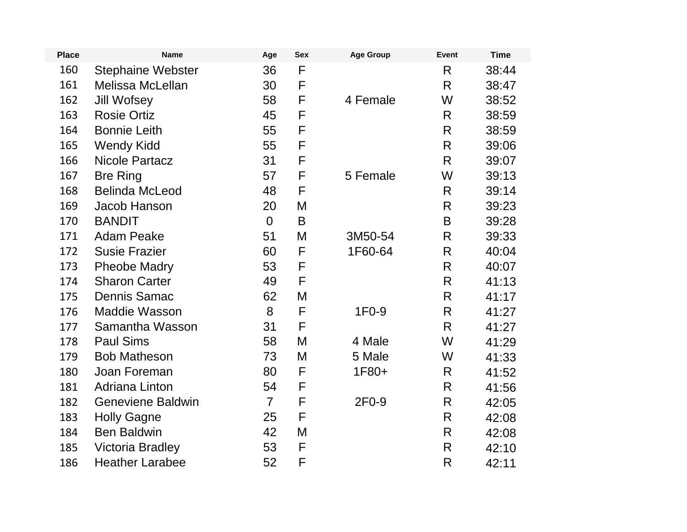| <b>Place</b> | <b>Name</b>              | Age            | <b>Sex</b>  | <b>Age Group</b>   | Event | <b>Time</b> |
|--------------|--------------------------|----------------|-------------|--------------------|-------|-------------|
| 160          | <b>Stephaine Webster</b> | 36             | F           |                    | R     | 38:44       |
| 161          | <b>Melissa McLellan</b>  | 30             | F           |                    | R     | 38:47       |
| 162          | Jill Wofsey              | 58             | $\mathsf F$ | 4 Female           | W     | 38:52       |
| 163          | <b>Rosie Ortiz</b>       | 45             | F           |                    | R     | 38:59       |
| 164          | <b>Bonnie Leith</b>      | 55             | F           |                    | R     | 38:59       |
| 165          | <b>Wendy Kidd</b>        | 55             | $\mathsf F$ |                    | R     | 39:06       |
| 166          | <b>Nicole Partacz</b>    | 31             | F           |                    | R     | 39:07       |
| 167          | <b>Bre Ring</b>          | 57             | F           | 5 Female           | W     | 39:13       |
| 168          | <b>Belinda McLeod</b>    | 48             | F           |                    | R     | 39:14       |
| 169          | Jacob Hanson             | 20             | M           |                    | R     | 39:23       |
| 170          | <b>BANDIT</b>            | $\overline{0}$ | B           |                    | B     | 39:28       |
| 171          | <b>Adam Peake</b>        | 51             | M           | 3M50-54            | R     | 39:33       |
| 172          | <b>Susie Frazier</b>     | 60             | F           | 1F60-64            | R     | 40:04       |
| 173          | <b>Pheobe Madry</b>      | 53             | F           |                    | R     | 40:07       |
| 174          | <b>Sharon Carter</b>     | 49             | F           |                    | R     | 41:13       |
| 175          | <b>Dennis Samac</b>      | 62             | M           |                    | R     | 41:17       |
| 176          | <b>Maddie Wasson</b>     | 8              | F           | 1F <sub>0</sub> -9 | R.    | 41:27       |
| 177          | Samantha Wasson          | 31             | F           |                    | R     | 41:27       |
| 178          | <b>Paul Sims</b>         | 58             | M           | 4 Male             | W     | 41:29       |
| 179          | <b>Bob Matheson</b>      | 73             | M           | 5 Male             | W     | 41:33       |
| 180          | Joan Foreman             | 80             | F           | 1F80+              | R     | 41:52       |
| 181          | <b>Adriana Linton</b>    | 54             | F           |                    | R     | 41:56       |
| 182          | <b>Geneviene Baldwin</b> | $\overline{7}$ | F           | 2F0-9              | R     | 42:05       |
| 183          | <b>Holly Gagne</b>       | 25             | F           |                    | R     | 42:08       |
| 184          | <b>Ben Baldwin</b>       | 42             | M           |                    | R     | 42:08       |
| 185          | <b>Victoria Bradley</b>  | 53             | F           |                    | R     | 42:10       |
| 186          | <b>Heather Larabee</b>   | 52             | F           |                    | R     | 42:11       |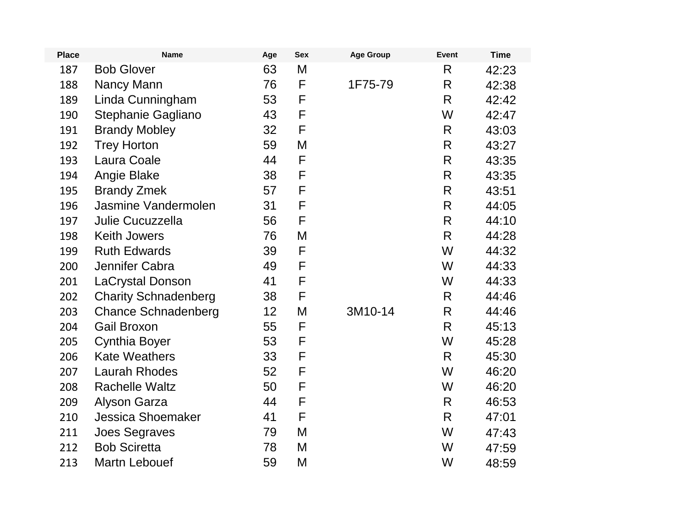| <b>Place</b> | <b>Name</b>                 | Age | <b>Sex</b> | <b>Age Group</b> | Event        | <b>Time</b> |
|--------------|-----------------------------|-----|------------|------------------|--------------|-------------|
| 187          | <b>Bob Glover</b>           | 63  | M          |                  | R            | 42:23       |
| 188          | Nancy Mann                  | 76  | F          | 1F75-79          | R            | 42:38       |
| 189          | Linda Cunningham            | 53  | F          |                  | R            | 42:42       |
| 190          | Stephanie Gagliano          | 43  | F          |                  | W            | 42:47       |
| 191          | <b>Brandy Mobley</b>        | 32  | F          |                  | R            | 43:03       |
| 192          | <b>Trey Horton</b>          | 59  | M          |                  | $\mathsf{R}$ | 43:27       |
| 193          | Laura Coale                 | 44  | F          |                  | R            | 43:35       |
| 194          | Angie Blake                 | 38  | F          |                  | R            | 43:35       |
| 195          | <b>Brandy Zmek</b>          | 57  | F          |                  | $\mathsf{R}$ | 43:51       |
| 196          | Jasmine Vandermolen         | 31  | F          |                  | R.           | 44:05       |
| 197          | Julie Cucuzzella            | 56  | F          |                  | R            | 44:10       |
| 198          | <b>Keith Jowers</b>         | 76  | M          |                  | $\mathsf{R}$ | 44:28       |
| 199          | <b>Ruth Edwards</b>         | 39  | F          |                  | W            | 44:32       |
| 200          | Jennifer Cabra              | 49  | F          |                  | W            | 44:33       |
| 201          | LaCrystal Donson            | 41  | F          |                  | W            | 44:33       |
| 202          | <b>Charity Schnadenberg</b> | 38  | F          |                  | R            | 44:46       |
| 203          | <b>Chance Schnadenberg</b>  | 12  | M          | 3M10-14          | R            | 44:46       |
| 204          | <b>Gail Broxon</b>          | 55  | F          |                  | R            | 45:13       |
| 205          | <b>Cynthia Boyer</b>        | 53  | F          |                  | W            | 45:28       |
| 206          | <b>Kate Weathers</b>        | 33  | F          |                  | R.           | 45:30       |
| 207          | <b>Laurah Rhodes</b>        | 52  | F          |                  | W            | 46:20       |
| 208          | <b>Rachelle Waltz</b>       | 50  | F          |                  | W            | 46:20       |
| 209          | <b>Alyson Garza</b>         | 44  | F          |                  | R            | 46:53       |
| 210          | <b>Jessica Shoemaker</b>    | 41  | F          |                  | R.           | 47:01       |
| 211          | <b>Joes Segraves</b>        | 79  | M          |                  | W            | 47:43       |
| 212          | <b>Bob Sciretta</b>         | 78  | M          |                  | W            | 47:59       |
| 213          | <b>Martn Lebouef</b>        | 59  | M          |                  | W            | 48:59       |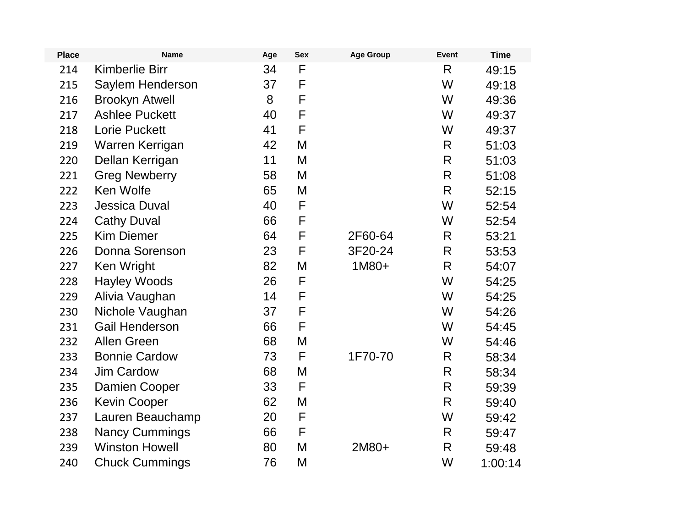| <b>Place</b> | <b>Name</b>           | Age | <b>Sex</b> | <b>Age Group</b> | <b>Event</b> | <b>Time</b> |
|--------------|-----------------------|-----|------------|------------------|--------------|-------------|
| 214          | <b>Kimberlie Birr</b> | 34  | F          |                  | R            | 49:15       |
| 215          | Saylem Henderson      | 37  | F          |                  | W            | 49:18       |
| 216          | <b>Brookyn Atwell</b> | 8   | F          |                  | W            | 49:36       |
| 217          | <b>Ashlee Puckett</b> | 40  | F          |                  | W            | 49:37       |
| 218          | <b>Lorie Puckett</b>  | 41  | F          |                  | W            | 49:37       |
| 219          | Warren Kerrigan       | 42  | M          |                  | R            | 51:03       |
| 220          | Dellan Kerrigan       | 11  | M          |                  | $\mathsf{R}$ | 51:03       |
| 221          | <b>Greg Newberry</b>  | 58  | M          |                  | $\mathsf{R}$ | 51:08       |
| 222          | Ken Wolfe             | 65  | M          |                  | R            | 52:15       |
| 223          | <b>Jessica Duval</b>  | 40  | F          |                  | W            | 52:54       |
| 224          | <b>Cathy Duval</b>    | 66  | F          |                  | W            | 52:54       |
| 225          | <b>Kim Diemer</b>     | 64  | F          | 2F60-64          | R            | 53:21       |
| 226          | Donna Sorenson        | 23  | F          | 3F20-24          | R            | 53:53       |
| 227          | Ken Wright            | 82  | M          | 1M80+            | $\mathsf{R}$ | 54:07       |
| 228          | <b>Hayley Woods</b>   | 26  | F          |                  | W            | 54:25       |
| 229          | Alivia Vaughan        | 14  | F          |                  | W            | 54:25       |
| 230          | Nichole Vaughan       | 37  | F          |                  | W            | 54:26       |
| 231          | <b>Gail Henderson</b> | 66  | F          |                  | W            | 54:45       |
| 232          | <b>Allen Green</b>    | 68  | M          |                  | W            | 54:46       |
| 233          | <b>Bonnie Cardow</b>  | 73  | F          | 1F70-70          | R            | 58:34       |
| 234          | <b>Jim Cardow</b>     | 68  | M          |                  | R            | 58:34       |
| 235          | Damien Cooper         | 33  | F          |                  | $\mathsf{R}$ | 59:39       |
| 236          | <b>Kevin Cooper</b>   | 62  | M          |                  | $\mathsf{R}$ | 59:40       |
| 237          | Lauren Beauchamp      | 20  | F          |                  | W            | 59:42       |
| 238          | <b>Nancy Cummings</b> | 66  | F          |                  | R            | 59:47       |
| 239          | <b>Winston Howell</b> | 80  | M          | 2M80+            | $\mathsf{R}$ | 59:48       |
| 240          | <b>Chuck Cummings</b> | 76  | M          |                  | W            | 1:00:14     |